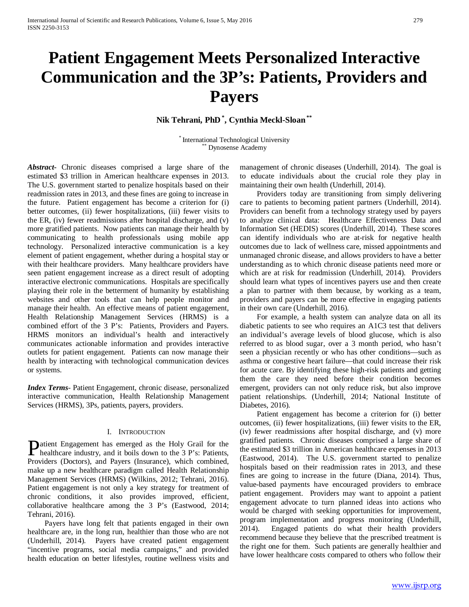# **Patient Engagement Meets Personalized Interactive Communication and the 3P's: Patients, Providers and Payers**

**Nik Tehrani, PhD \* , Cynthia Meckl-Sloan\*\***

\* International Technological University<br>
\*\* Dynosense Academy

*Abstract***-** Chronic diseases comprised a large share of the estimated \$3 trillion in American healthcare expenses in 2013. The U.S. government started to penalize hospitals based on their readmission rates in 2013, and these fines are going to increase in the future. Patient engagement has become a criterion for (i) better outcomes, (ii) fewer hospitalizations, (iii) fewer visits to the ER, (iv) fewer readmissions after hospital discharge, and (v) more gratified patients. Now patients can manage their health by communicating to health professionals using mobile app technology. Personalized interactive communication is a key element of patient engagement, whether during a hospital stay or with their healthcare providers. Many healthcare providers have seen patient engagement increase as a direct result of adopting interactive electronic communications. Hospitals are specifically playing their role in the betterment of humanity by establishing websites and other tools that can help people monitor and manage their health. An effective means of patient engagement, Health Relationship Management Services (HRMS) is a combined effort of the 3 P's: Patients, Providers and Payers. HRMS monitors an individual's health and interactively communicates actionable information and provides interactive outlets for patient engagement. Patients can now manage their health by interacting with technological communication devices or systems.

*Index Terms*- Patient Engagement, chronic disease, personalized interactive communication, Health Relationship Management Services (HRMS), 3Ps, patients, payers, providers.

## I. INTRODUCTION

atient Engagement has emerged as the Holy Grail for the **P**atient Engagement has emerged as the Holy Grail for the healthcare industry, and it boils down to the 3 P's: Patients, Providers (Doctors), and Payers (Insurance), which combined, make up a new healthcare paradigm called Health Relationship Management Services (HRMS) (Wilkins, 2012; Tehrani, 2016). Patient engagement is not only a key strategy for treatment of chronic conditions, it also provides improved, efficient, collaborative healthcare among the 3 P's (Eastwood, 2014; Tehrani, 2016).

 Payers have long felt that patients engaged in their own healthcare are, in the long run, healthier than those who are not (Underhill, 2014). Payers have created patient engagement "incentive programs, social media campaigns," and provided health education on better lifestyles, routine wellness visits and management of chronic diseases (Underhill, 2014). The goal is to educate individuals about the crucial role they play in maintaining their own health (Underhill, 2014).

 Providers today are transitioning from simply delivering care to patients to becoming patient partners (Underhill, 2014). Providers can benefit from a technology strategy used by payers to analyze clinical data: Healthcare Effectiveness Data and Information Set (HEDIS) scores (Underhill, 2014). These scores can identify individuals who are at-risk for negative health outcomes due to lack of wellness care, missed appointments and unmanaged chronic disease, and allows providers to have a better understanding as to which chronic disease patients need more or which are at risk for readmission (Underhill, 2014). Providers should learn what types of incentives payers use and then create a plan to partner with them because, by working as a team, providers and payers can be more effective in engaging patients in their own care (Underhill, 2016).

 For example, a health system can analyze data on all its diabetic patients to see who requires an A1C3 test that delivers an individual's average levels of blood glucose, which is also referred to as blood sugar, over a 3 month period, who hasn't seen a physician recently or who has other conditions—such as asthma or congestive heart failure—that could increase their risk for acute care. By identifying these high-risk patients and getting them the care they need before their condition becomes emergent, providers can not only reduce risk, but also improve patient relationships. (Underhill, 2014; National Institute of Diabetes, 2016).

 Patient engagement has become a criterion for (i) better outcomes, (ii) fewer hospitalizations, (iii) fewer visits to the ER, (iv) fewer readmissions after hospital discharge, and (v) more gratified patients. Chronic diseases comprised a large share of the estimated \$3 trillion in American healthcare expenses in 2013 (Eastwood, 2014). The U.S. government started to penalize hospitals based on their readmission rates in 2013, and these fines are going to increase in the future (Diana, 2014). Thus, value-based payments have encouraged providers to embrace patient engagement. Providers may want to appoint a patient engagement advocate to turn planned ideas into actions who would be charged with seeking opportunities for improvement, program implementation and progress monitoring (Underhill, 2014). Engaged patients do what their health providers recommend because they believe that the prescribed treatment is the right one for them. Such patients are generally healthier and have lower healthcare costs compared to others who follow their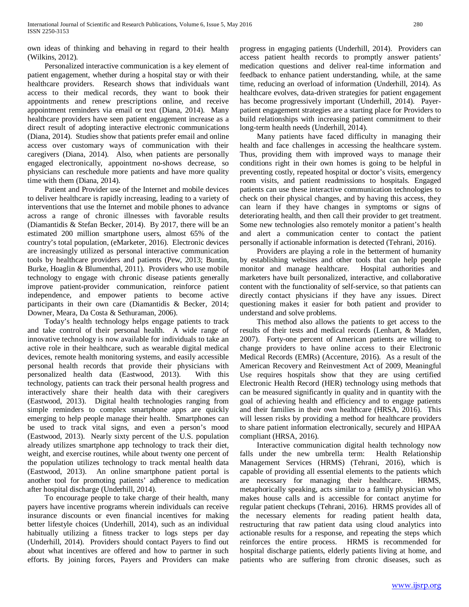own ideas of thinking and behaving in regard to their health (Wilkins, 2012).

 Personalized interactive communication is a key element of patient engagement, whether during a hospital stay or with their healthcare providers. Research shows that individuals want access to their medical records, they want to book their appointments and renew prescriptions online, and receive appointment reminders via email or text (Diana, 2014). Many healthcare providers have seen patient engagement increase as a direct result of adopting interactive electronic communications (Diana, 2014). Studies show that patients prefer email and online access over customary ways of communication with their caregivers (Diana, 2014). Also, when patients are personally engaged electronically, appointment no-shows decrease, so physicians can reschedule more patients and have more quality time with them (Diana, 2014).

 Patient and Provider use of the Internet and mobile devices to deliver healthcare is rapidly increasing, leading to a variety of interventions that use the Internet and mobile phones to advance across a range of chronic illnesses with favorable results (Diamantidis & Stefan Becker, 2014). By 2017, there will be an estimated 200 million smartphone users, almost 65% of the country's total population, (eMarketer, 2016). Electronic devices are increasingly utilized as personal interactive communication tools by healthcare providers and patients (Pew, 2013; Buntin, Burke, Hoaglin & Blumenthal, 2011). Providers who use mobile technology to engage with chronic disease patients generally improve patient-provider communication, reinforce patient independence, and empower patients to become active participants in their own care (Diamantidis & Becker, 2014; Downer, Meara, Da Costa & Sethuraman, 2006).

 Today's health technology helps engage patients to track and take control of their personal health. A wide range of innovative technology is now available for individuals to take an active role in their healthcare, such as wearable digital medical devices, remote health monitoring systems, and easily accessible personal health records that provide their physicians with personalized health data (Eastwood, 2013). With this technology, patients can track their personal health progress and interactively share their health data with their caregivers (Eastwood, 2013). Digital health technologies ranging from simple reminders to complex smartphone apps are quickly emerging to help people manage their health. Smartphones can be used to track vital signs, and even a person's mood (Eastwood, 2013). Nearly sixty percent of the U.S. population already utilizes smartphone app technology to track their diet, weight, and exercise routines, while about twenty one percent of the population utilizes technology to track mental health data (Eastwood, 2013). An online smartphone patient portal is another tool for promoting patients' adherence to medication after hospital discharge (Underhill, 2014).

 To encourage people to take charge of their health, many payers have incentive programs wherein individuals can receive insurance discounts or even financial incentives for making better lifestyle choices (Underhill, 2014), such as an individual habitually utilizing a fitness tracker to logs steps per day (Underhill, 2014). Providers should contact Payers to find out about what incentives are offered and how to partner in such efforts. By joining forces, Payers and Providers can make progress in engaging patients (Underhill, 2014). Providers can access patient health records to promptly answer patients' medication questions and deliver real-time information and feedback to enhance patient understanding, while, at the same time, reducing an overload of information (Underhill, 2014). As healthcare evolves, data-driven strategies for patient engagement has become progressively important (Underhill, 2014). Payerpatient engagement strategies are a starting place for Providers to build relationships with increasing patient commitment to their long-term health needs (Underhill, 2014).

 Many patients have faced difficulty in managing their health and face challenges in accessing the healthcare system. Thus, providing them with improved ways to manage their conditions right in their own homes is going to be helpful in preventing costly, repeated hospital or doctor's visits, emergency room visits, and patient readmissions to hospitals. Engaged patients can use these interactive communication technologies to check on their physical changes, and by having this access, they can learn if they have changes in symptoms or signs of deteriorating health, and then call their provider to get treatment. Some new technologies also remotely monitor a patient's health and alert a communication center to contact the patient personally if actionable information is detected (Tehrani, 2016).

 Providers are playing a role in the betterment of humanity by establishing websites and other tools that can help people monitor and manage healthcare. Hospital authorities and marketers have built personalized, interactive, and collaborative content with the functionality of self-service, so that patients can directly contact physicians if they have any issues. Direct questioning makes it easier for both patient and provider to understand and solve problems.

 This method also allows the patients to get access to the results of their tests and medical records (Lenhart, & Madden, 2007). Forty-one percent of American patients are willing to change providers to have online access to their Electronic Medical Records (EMRs) (Accenture, 2016). As a result of the American Recovery and Reinvestment Act of 2009, Meaningful Use requires hospitals show that they are using certified Electronic Health Record (HER) technology using methods that can be measured significantly in quality and in quantity with the goal of achieving health and efficiency and to engage patients and their families in their own healthcare (HRSA, 2016). This will lessen risks by providing a method for healthcare providers to share patient information electronically, securely and HIPAA compliant (HRSA, 2016).

 Interactive communication digital health technology now falls under the new umbrella term: Health Relationship Management Services (HRMS) (Tehrani, 2016), which is capable of providing all essential elements to the patients which are necessary for managing their healthcare. HRMS, metaphorically speaking, acts similar to a family physician who makes house calls and is accessible for contact anytime for regular patient checkups (Tehrani, 2016). HRMS provides all of the necessary elements for reading patient health data, restructuring that raw patient data using cloud analytics into actionable results for a response, and repeating the steps which reinforces the entire process. HRMS is recommended for hospital discharge patients, elderly patients living at home, and patients who are suffering from chronic diseases, such as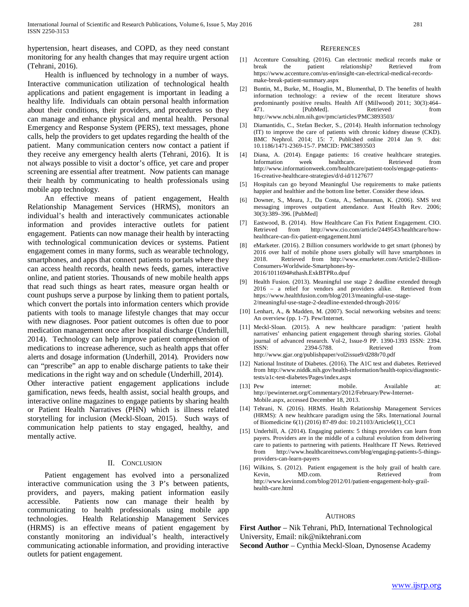hypertension, heart diseases, and COPD, as they need constant monitoring for any health changes that may require urgent action (Tehrani, 2016).

 Health is influenced by technology in a number of ways. Interactive communication utilization of technological health applications and patient engagement is important in leading a healthy life. Individuals can obtain personal health information about their conditions, their providers, and procedures so they can manage and enhance physical and mental health. Personal Emergency and Response System (PERS), text messages, phone calls, help the providers to get updates regarding the health of the patient. Many communication centers now contact a patient if they receive any emergency health alerts (Tehrani, 2016). It is not always possible to visit a doctor's office, yet care and proper screening are essential after treatment. Now patients can manage their health by communicating to health professionals using mobile app technology.

 An effective means of patient engagement, Health Relationship Management Services (HRMS), monitors an individual's health and interactively communicates actionable information and provides interactive outlets for patient engagement. Patients can now manage their health by interacting with technological communication devices or systems. Patient engagement comes in many forms, such as wearable technology, smartphones, and apps that connect patients to portals where they can access health records, health news feeds, games, interactive online, and patient stories. Thousands of new mobile health apps that read such things as heart rates, measure organ health or count pushups serve a purpose by linking them to patient portals, which convert the portals into information centers which provide patients with tools to manage lifestyle changes that may occur with new diagnoses. Poor patient outcomes is often due to poor medication management once after hospital discharge (Underhill, 2014). Technology can help improve patient comprehension of medications to increase adherence, such as health apps that offer alerts and dosage information (Underhill, 2014). Providers now can "prescribe" an app to enable discharge patients to take their medications in the right way and on schedule (Underhill, 2014).

Other interactive patient engagement applications include gamification, news feeds, health assist, social health groups, and interactive online magazines to engage patients by sharing health or Patient Health Narratives (PHN) which is illness related storytelling for inclusion (Meckl-Sloan, 2015). Such ways of communication help patients to stay engaged, healthy, and mentally active.

### II. CONCLUSION

 Patient engagement has evolved into a personalized interactive communication using the 3 P's between patients, providers, and payers, making patient information easily accessible. Patients now can manage their health by communicating to health professionals using mobile app technologies. Health Relationship Management Services (HRMS) is an effective means of patient engagement by constantly monitoring an individual's health, interactively communicating actionable information, and providing interactive outlets for patient engagement.

#### **REFERENCES**

- [1] Accenture Consulting. (2016). Can electronic medical records make or break the patient relationship? Retrieved from https://www.accenture.com/us-en/insight-can-electrical-medical-recordsmake-break-patient-summary.aspx
- [2] Buntin, M., Burke, M., Hoaglin, M., Blumenthal, D. The benefits of health information technology: a review of the recent literature shows predominantly positive results. Health Aff (Millwood) 2011; 30(3):464–471. [PubMed]. 471. **[PubMed].** Retrieved http://www.ncbi.nlm.nih.gov/pmc/articles/PMC3893503/
- [3] Diamantidis, C., Stefan Becker, S., (2014). Health information technology (IT) to improve the care of patients with chronic kidney disease (CKD). BMC Nephrol. 2014; 15: 7. Published online 2014 Jan 9. doi: 10.1186/1471-2369-15-7. PMCID: PMC3893503
- [4] Diana, A. (2014). Engage patients: 16 creative healthcare strategies. Information week healthcare. Retrieved from http://www.informationweek.com/healthcare/patient-tools/engage-patients-16-creative-healthcare-strategies/d/d-id/1127677
- [5] Hospitals can go beyond Meaningful Use requirements to make patients happier and healthier and the bottom line better. Consider these ideas.
- [6] Downer, S., Meara, J., Da Costa, A., Sethuraman, K. (2006). SMS text messaging improves outpatient attendance. Aust Health Rev. 2006; 30(3):389–396. [PubMed]
- [7] Eastwood, B. (2014). How Healthcare Can Fix Patient Engagement. CIO. Retrieved from http://www.cio.com/article/2449543/healthcare/howhealthcare-can-fix-patient-engagement.html
- [8] eMarketer. (2016). 2 Billion consumers worldwide to get smart (phones) by 2016 over half of mobile phone users globally will have smartphones in 2018. Retrieved from http://www.emarketer.com/Article/2-Billion-Consumers-Worldwide-Smartphones-by-2016/1011694#sthash.ExkBTPRo.dpuf
- [9] Health Fusion. (2013). Meaningful use stage 2 deadline extended through 2016 – a relief for vendors and providers alike. Retrieved from https://www.healthfusion.com/blog/2013/meaningful-use-stage-2/meaningful-use-stage-2-deadline-extended-through-2016/
- [10] Lenhart, A., & Madden, M. (2007). Social networking websites and teens: An overview (pp. 1-7). Pew/Internet.
- [11] Meckl-Sloan. (2015). A new healthcare paradigm: 'patient health narratives' enhancing patient engagement through sharing stories. Global journal of advanced research. Vol-2, Issue-9 PP. 1390-1393 ISSN: 2394. 2394-5788. Retrieved from http://www.gjar.org/publishpaper/vol2issue9/d288r70.pdf
- [12] National Institute of Diabetes. (2016). The A1C test and diabetes. Retrieved from http://www.niddk.nih.gov/health-information/health-topics/diagnostictests/a1c-test-diabetes/Pages/index.aspx
- [13] Pew internet: mobile. Available at: http://pewinternet.org/Commentary/2012/February/Pew-Internet-Mobile.aspx, accessed December 18, 2013.
- [14] Tehrani, N. (2016). HRMS. Health Relationship Management Services (HRMS): A new healthcare paradigm using the 5Rs. International Journal of Biomedicine 6(1) (2016) 87-89 doi: 10.21103/Article6(1)\_CC1
- [15] Underhill, A. (2014). Engaging patients: 5 things providers can learn from payers. Providers are in the middle of a cultural evolution from delivering care to patients to partnering with patients. Healthcare IT News. Retrieved from http://www.healthcareitnews.com/blog/engaging-patients-5-thingsproviders-can-learn-payers
- [16] Wilkins, S. (2012). Patient engagement is the holy grail of health care. Kevin, MD.com. Retrieved from http://www.kevinmd.com/blog/2012/01/patient-engagement-holy-grailhealth-care.html

#### **AUTHORS**

**First Author** – Nik Tehrani, PhD, International Technological University, Email: nik@niktehrani.com **Second Author** – Cynthia Meckl-Sloan, Dynosense Academy